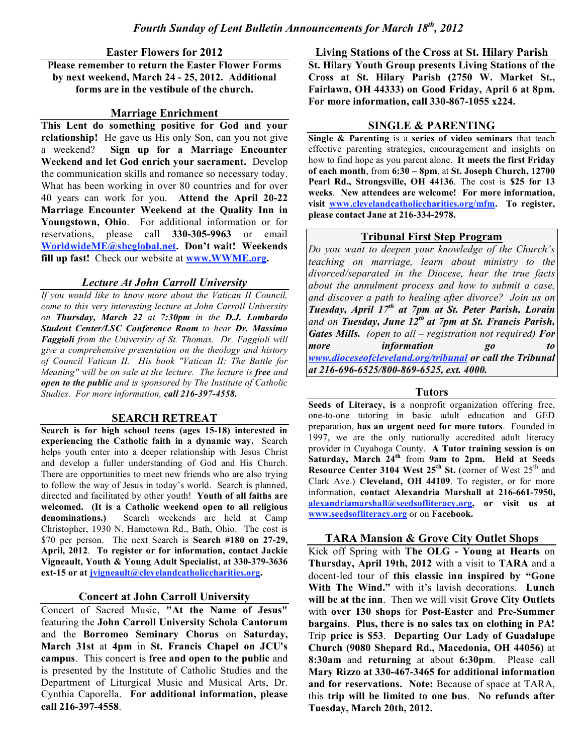**Easter Flowers for 2012**

**Please remember to return the Easter Flower Forms by next weekend, March 24 - 25, 2012. Additional forms are in the vestibule of the church.**

### **Marriage Enrichment**

**This Lent do something positive for God and your relationship!** He gave us His only Son, can you not give a weekend? **Sign up for a Marriage Encounter Weekend and let God enrich your sacrament.** Develop the communication skills and romance so necessary today. What has been working in over 80 countries and for over 40 years can work for you. **Attend the April 20-22 Marriage Encounter Weekend at the Quality Inn in Youngstown, Ohio**. For additional information or for reservations, please call **330-305-9963** or email **WorldwideME@sbcglobal.net. Don't wait! Weekends fill up fast!** Check our website at **www.WWME.org.**

## *Lecture At John Carroll University*

*If you would like to know more about the Vatican II Council, come to this very interesting lecture at John Carroll University on Thursday, March 22 at 7:30pm in the D.J. Lombardo Student Center/LSC Conference Room to hear Dr. Massimo Faggioli from the University of St. Thomas. Dr. Faggioli will give a comprehensive presentation on the theology and history of Council Vatican II. His book "Vatican II: The Battle for Meaning" will be on sale at the lecture. The lecture is free and open to the public and is sponsored by The Institute of Catholic Studies. For more information, call 216-397-4558.*

## **SEARCH RETREAT**

**Search is for high school teens (ages 15-18) interested in experiencing the Catholic faith in a dynamic way.** Search helps youth enter into a deeper relationship with Jesus Christ and develop a fuller understanding of God and His Church. There are opportunities to meet new friends who are also trying to follow the way of Jesus in today's world. Search is planned, directed and facilitated by other youth! **Youth of all faiths are welcomed. (It is a Catholic weekend open to all religious denominations.)** Search weekends are held at Camp Christopher, 1930 N. Hametown Rd., Bath, Ohio. The cost is \$70 per person. The next Search is **Search #180 on 27-29, April, 2012**. **To register or for information, contact Jackie Vigneault, Youth & Young Adult Specialist, at 330-379-3636 ext-15 or at jvigneault@clevelandcatholiccharities.org.**

### **Concert at John Carroll University**

Concert of Sacred Music, **"At the Name of Jesus"** featuring the **John Carroll University Schola Cantorum** and the **Borromeo Seminary Chorus** on **Saturday, March 31st** at **4pm** in **St. Francis Chapel on JCU's campus**. This concert is **free and open to the public** and is presented by the Institute of Catholic Studies and the Department of Liturgical Music and Musical Arts, Dr. Cynthia Caporella. **For additional information, please call 216-397-4558**.

**Living Stations of the Cross at St. Hilary Parish St. Hilary Youth Group presents Living Stations of the Cross at St. Hilary Parish (2750 W. Market St., Fairlawn, OH 44333) on Good Friday, April 6 at 8pm. For more information, call 330-867-1055 x224.**

### **SINGLE & PARENTING**

**Single & Parenting** is a **series of video seminars** that teach effective parenting strategies, encouragement and insights on how to find hope as you parent alone. **It meets the first Friday of each month**, from **6:30 – 8pm**, at **St. Joseph Church, 12700 Pearl Rd., Strongsville, OH 44136**. The cost is **\$25 for 13 weeks**. **New attendees are welcome! For more information, visit www.clevelandcatholiccharities.org/mfm. To register, please contact Jane at 216-334-2978.**

### **Tribunal First Step Program**

*Do you want to deepen your knowledge of the Church's teaching on marriage, learn about ministry to the divorced/separated in the Diocese, hear the true facts about the annulment process and how to submit a case, and discover a path to healing after divorce? Join us on Tuesday, April 17th at 7pm at St. Peter Parish, Lorain and on Tuesday, June 12th at 7pm at St. Francis Parish, Gates Mills. (open to all – registration not required) For more information go to www.dioceseofcleveland.org/tribunal or call the Tribunal at 216-696-6525/800-869-6525, ext. 4000.*

### **Tutors**

**Seeds of Literacy, is** a nonprofit organization offering free, one-to-one tutoring in basic adult education and GED preparation, **has an urgent need for more tutors**. Founded in 1997, we are the only nationally accredited adult literacy provider in Cuyahoga County. **A Tutor training session is on Saturday, March 24th** from **9am to 2pm. Held at Seeds Resource Center 3104 West 25th St.** (corner of West 25th and Clark Ave.) **Cleveland, OH 44109**. To register, or for more information, **contact Alexandria Marshall at 216-661-7950, alexandriamarshall@seedsofliteracy.org, or visit us at www.seedsofliteracy.org** or on **Facebook.**

## **TARA Mansion & Grove City Outlet Shops**

Kick off Spring with **The OLG - Young at Hearts** on **Thursday, April 19th, 2012** with a visit to **TARA** and a docent-led tour of **this classic inn inspired by "Gone With The Wind."** with it's lavish decorations. **Lunch will be at the inn**. Then we will visit **Grove City Outlets** with **over 130 shops** for **Post-Easter** and **Pre-Summer bargains**. **Plus, there is no sales tax on clothing in PA!** Trip **price is \$53**. **Departing Our Lady of Guadalupe Church (9080 Shepard Rd., Macedonia, OH 44056)** at **8:30am** and **returning** at about **6:30pm**. Please call **Mary Rizzo at 330-467-3465 for additional information and for reservations. Note:** Because of space at TARA, this **trip will be limited to one bus**. **No refunds after Tuesday, March 20th, 2012.**